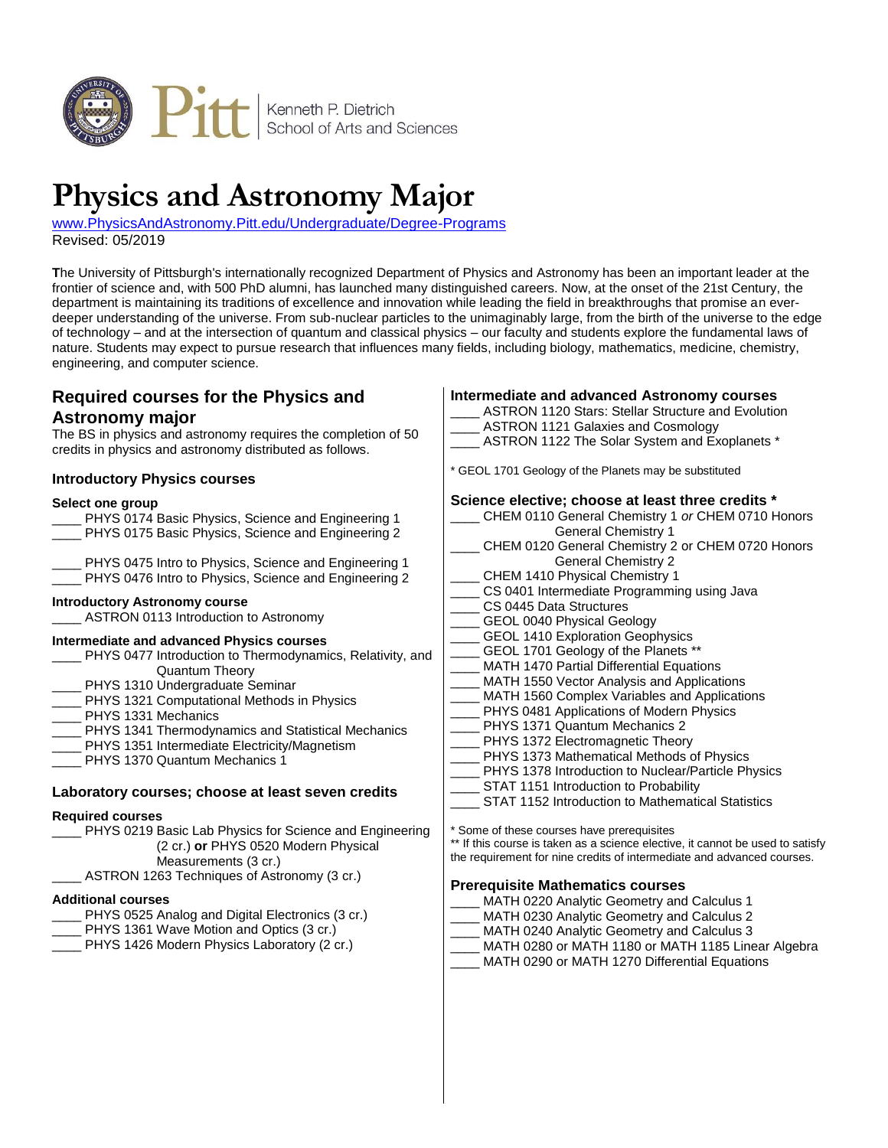

# **Physics and Astronomy Major**

[www.PhysicsAndAstronomy.Pitt.edu/Undergraduate/Degree-Programs](http://www.physicsandastronomy.pitt.edu/undergraduate/degree-programs) Revised: 05/2019

**T**he University of Pittsburgh's internationally recognized Department of Physics and Astronomy has been an important leader at the frontier of science and, with 500 PhD alumni, has launched many distinguished careers. Now, at the onset of the 21st Century, the department is maintaining its traditions of excellence and innovation while leading the field in breakthroughs that promise an everdeeper understanding of the universe. From sub-nuclear particles to the unimaginably large, from the birth of the universe to the edge of technology – and at the intersection of quantum and classical physics – our faculty and students explore the fundamental laws of nature. Students may expect to pursue research that influences many fields, including biology, mathematics, medicine, chemistry, engineering, and computer science.

# **Required courses for the Physics and Astronomy major**

The BS in physics and astronomy requires the completion of 50 credits in physics and astronomy distributed as follows.

## **Introductory Physics courses**

#### **Select one group**

PHYS 0174 Basic Physics, Science and Engineering 1 PHYS 0175 Basic Physics, Science and Engineering 2 PHYS 0475 Intro to Physics, Science and Engineering 1 PHYS 0476 Intro to Physics, Science and Engineering 2 **Introductory Astronomy course** ASTRON 0113 Introduction to Astronomy

#### **Intermediate and advanced Physics courses**

- PHYS 0477 Introduction to Thermodynamics, Relativity, and Quantum Theory PHYS 1310 Undergraduate Seminar
- PHYS 1321 Computational Methods in Physics
- PHYS 1331 Mechanics
- PHYS 1341 Thermodynamics and Statistical Mechanics
- PHYS 1351 Intermediate Electricity/Magnetism
- PHYS 1370 Quantum Mechanics 1

## **Laboratory courses; choose at least seven credits**

#### **Required courses**

- PHYS 0219 Basic Lab Physics for Science and Engineering (2 cr.) **or** PHYS 0520 Modern Physical Measurements (3 cr.)
- ASTRON 1263 Techniques of Astronomy (3 cr.)

## **Additional courses**

- PHYS 0525 Analog and Digital Electronics (3 cr.)
- PHYS 1361 Wave Motion and Optics (3 cr.)
- PHYS 1426 Modern Physics Laboratory (2 cr.)

## **Intermediate and advanced Astronomy courses**

| ASTRON 1120 Stars: Stellar Structure and Evolution |
|----------------------------------------------------|
| ASTRON 1121 Galaxies and Cosmology                 |
| ASTRON 1122 The Solar System and Exoplanets *      |

\* GEOL 1701 Geology of the Planets may be substituted

## **Science elective; choose at least three credits \***

| CHEM 0110 General Chemistry 1 or CHEM 0710 Honors  |
|----------------------------------------------------|
| <b>General Chemistry 1</b>                         |
| CHEM 0120 General Chemistry 2 or CHEM 0720 Honors  |
| <b>General Chemistry 2</b>                         |
| <b>CHEM 1410 Physical Chemistry 1</b>              |
| CS 0401 Intermediate Programming using Java        |
| CS 0445 Data Structures                            |
| GEOL 0040 Physical Geology                         |
| <b>GEOL 1410 Exploration Geophysics</b>            |
| GEOL 1701 Geology of the Planets **                |
| MATH 1470 Partial Differential Equations           |
| MATH 1550 Vector Analysis and Applications         |
| MATH 1560 Complex Variables and Applications       |
| PHYS 0481 Applications of Modern Physics           |
| PHYS 1371 Quantum Mechanics 2                      |
| PHYS 1372 Electromagnetic Theory                   |
| PHYS 1373 Mathematical Methods of Physics          |
| PHYS 1378 Introduction to Nuclear/Particle Physics |
| STAT 1151 Introduction to Probability              |
| STAT 1152 Introduction to Mathematical Statistics  |
| * Some of these courses have prerequisites         |

\*\* If this course is taken as a science elective, it cannot be used to satisfy the requirement for nine credits of intermediate and advanced courses.

## **Prerequisite Mathematics courses**

- MATH 0220 Analytic Geometry and Calculus 1
- MATH 0230 Analytic Geometry and Calculus 2
- MATH 0240 Analytic Geometry and Calculus 3
- MATH 0280 or MATH 1180 or MATH 1185 Linear Algebra
	- MATH 0290 or MATH 1270 Differential Equations